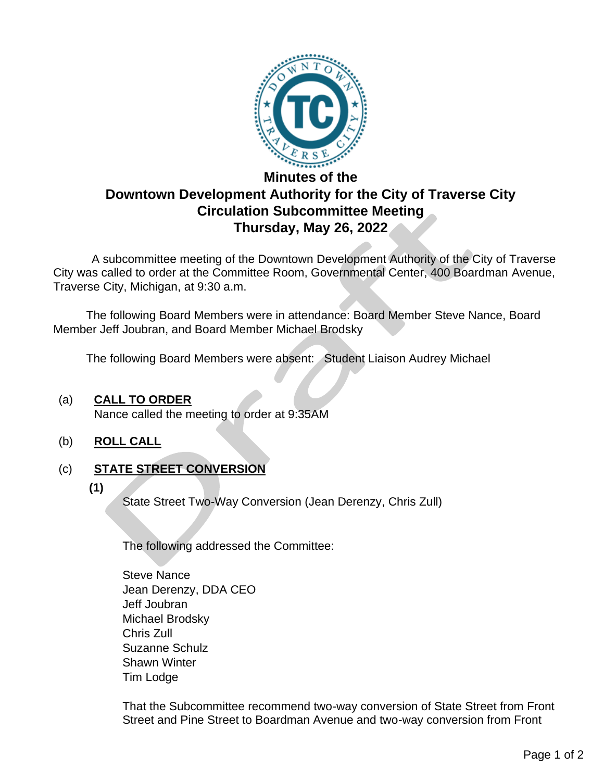

# **Minutes of the Downtown Development Authority for the City of Traverse City Circulation Subcommittee Meeting Thursday, May 26, 2022**

 A subcommittee meeting of the Downtown Development Authority of the City of Traverse City was called to order at the Committee Room, Governmental Center, 400 Boardman Avenue, Traverse City, Michigan, at 9:30 a.m.

The following Board Members were in attendance: Board Member Steve Nance, Board Member Jeff Joubran, and Board Member Michael Brodsky

The following Board Members were absent: Student Liaison Audrey Michael

#### (a) **CALL TO ORDER**

Nance called the meeting to order at 9:35AM

(b) **ROLL CALL**

# (c) **STATE STREET CONVERSION**

**(1)**

State Street Two-Way Conversion (Jean Derenzy, Chris Zull)

The following addressed the Committee:

Steve Nance Jean Derenzy, DDA CEO Jeff Joubran Michael Brodsky Chris Zull Suzanne Schulz Shawn Winter Tim Lodge

That the Subcommittee recommend two-way conversion of State Street from Front Street and Pine Street to Boardman Avenue and two-way conversion from Front